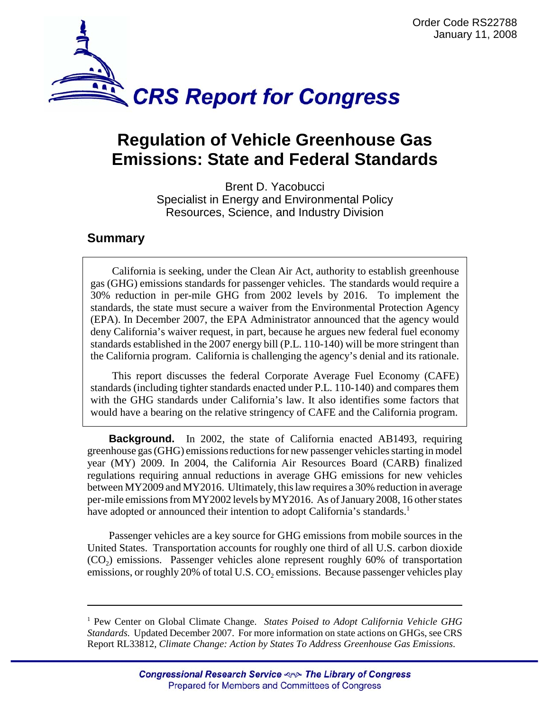

## **Regulation of Vehicle Greenhouse Gas Emissions: State and Federal Standards**

Brent D. Yacobucci Specialist in Energy and Environmental Policy Resources, Science, and Industry Division

## **Summary**

California is seeking, under the Clean Air Act, authority to establish greenhouse gas (GHG) emissions standards for passenger vehicles. The standards would require a 30% reduction in per-mile GHG from 2002 levels by 2016. To implement the standards, the state must secure a waiver from the Environmental Protection Agency (EPA). In December 2007, the EPA Administrator announced that the agency would deny California's waiver request, in part, because he argues new federal fuel economy standards established in the 2007 energy bill (P.L. 110-140) will be more stringent than the California program. California is challenging the agency's denial and its rationale.

This report discusses the federal Corporate Average Fuel Economy (CAFE) standards (including tighter standards enacted under P.L. 110-140) and compares them with the GHG standards under California's law. It also identifies some factors that would have a bearing on the relative stringency of CAFE and the California program.

**Background.** In 2002, the state of California enacted AB1493, requiring greenhouse gas (GHG) emissions reductions for new passenger vehicles starting in model year (MY) 2009. In 2004, the California Air Resources Board (CARB) finalized regulations requiring annual reductions in average GHG emissions for new vehicles between MY2009 and MY2016. Ultimately, this law requires a 30% reduction in average per-mile emissions from MY2002 levels by MY2016. As of January 2008, 16 other states have adopted or announced their intention to adopt California's standards.<sup>1</sup>

Passenger vehicles are a key source for GHG emissions from mobile sources in the United States. Transportation accounts for roughly one third of all U.S. carbon dioxide  $(CO<sub>2</sub>)$  emissions. Passenger vehicles alone represent roughly 60% of transportation emissions, or roughly 20% of total U.S.  $CO<sub>2</sub>$  emissions. Because passenger vehicles play

<sup>&</sup>lt;sup>1</sup> Pew Center on Global Climate Change. States Poised to Adopt California Vehicle GHG *Standards.* Updated December 2007. For more information on state actions on GHGs, see CRS Report RL33812, *Climate Change: Action by States To Address Greenhouse Gas Emissions*.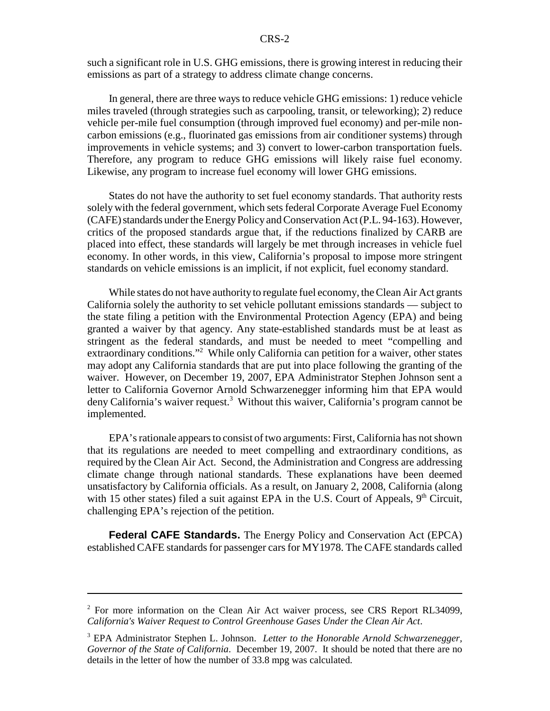such a significant role in U.S. GHG emissions, there is growing interest in reducing their emissions as part of a strategy to address climate change concerns.

In general, there are three ways to reduce vehicle GHG emissions: 1) reduce vehicle miles traveled (through strategies such as carpooling, transit, or teleworking); 2) reduce vehicle per-mile fuel consumption (through improved fuel economy) and per-mile noncarbon emissions (e.g., fluorinated gas emissions from air conditioner systems) through improvements in vehicle systems; and 3) convert to lower-carbon transportation fuels. Therefore, any program to reduce GHG emissions will likely raise fuel economy. Likewise, any program to increase fuel economy will lower GHG emissions.

States do not have the authority to set fuel economy standards. That authority rests solely with the federal government, which sets federal Corporate Average Fuel Economy (CAFE) standards under the Energy Policy and Conservation Act (P.L. 94-163). However, critics of the proposed standards argue that, if the reductions finalized by CARB are placed into effect, these standards will largely be met through increases in vehicle fuel economy. In other words, in this view, California's proposal to impose more stringent standards on vehicle emissions is an implicit, if not explicit, fuel economy standard.

While states do not have authority to regulate fuel economy, the Clean Air Act grants California solely the authority to set vehicle pollutant emissions standards — subject to the state filing a petition with the Environmental Protection Agency (EPA) and being granted a waiver by that agency. Any state-established standards must be at least as stringent as the federal standards, and must be needed to meet "compelling and extraordinary conditions."<sup>2</sup> While only California can petition for a waiver, other states may adopt any California standards that are put into place following the granting of the waiver. However, on December 19, 2007, EPA Administrator Stephen Johnson sent a letter to California Governor Arnold Schwarzenegger informing him that EPA would deny California's waiver request.<sup>3</sup> Without this waiver, California's program cannot be implemented.

EPA's rationale appears to consist of two arguments: First, California has not shown that its regulations are needed to meet compelling and extraordinary conditions, as required by the Clean Air Act. Second, the Administration and Congress are addressing climate change through national standards. These explanations have been deemed unsatisfactory by California officials. As a result, on January 2, 2008, California (along with 15 other states) filed a suit against EPA in the U.S. Court of Appeals,  $9<sup>th</sup>$  Circuit, challenging EPA's rejection of the petition.

**Federal CAFE Standards.** The Energy Policy and Conservation Act (EPCA) established CAFE standards for passenger cars for MY1978. The CAFE standards called

<sup>&</sup>lt;sup>2</sup> For more information on the Clean Air Act waiver process, see CRS Report RL34099, *California's Waiver Request to Control Greenhouse Gases Under the Clean Air Act*.

<sup>3</sup> EPA Administrator Stephen L. Johnson. *Letter to the Honorable Arnold Schwarzenegger, Governor of the State of California.* December 19, 2007. It should be noted that there are no details in the letter of how the number of 33.8 mpg was calculated.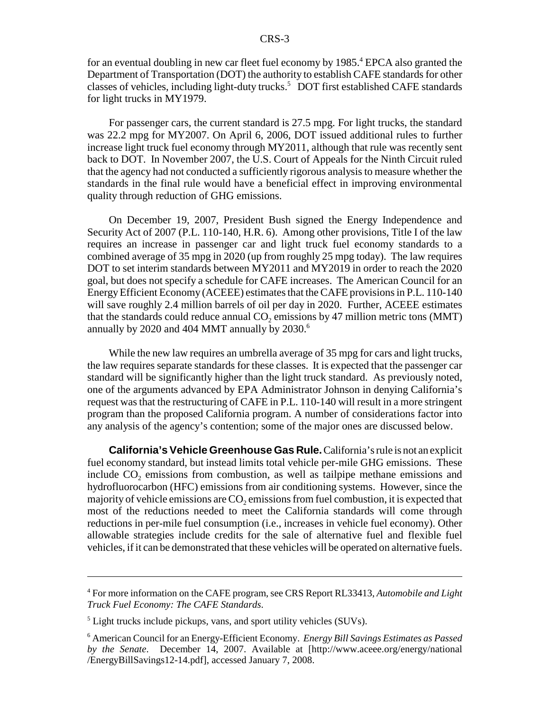for an eventual doubling in new car fleet fuel economy by 1985.<sup>4</sup> EPCA also granted the Department of Transportation (DOT) the authority to establish CAFE standards for other classes of vehicles, including light-duty trucks.<sup>5</sup> DOT first established CAFE standards for light trucks in MY1979.

For passenger cars, the current standard is 27.5 mpg. For light trucks, the standard was 22.2 mpg for MY2007. On April 6, 2006, DOT issued additional rules to further increase light truck fuel economy through MY2011, although that rule was recently sent back to DOT. In November 2007, the U.S. Court of Appeals for the Ninth Circuit ruled that the agency had not conducted a sufficiently rigorous analysis to measure whether the standards in the final rule would have a beneficial effect in improving environmental quality through reduction of GHG emissions.

On December 19, 2007, President Bush signed the Energy Independence and Security Act of 2007 (P.L. 110-140, H.R. 6). Among other provisions, Title I of the law requires an increase in passenger car and light truck fuel economy standards to a combined average of 35 mpg in 2020 (up from roughly 25 mpg today). The law requires DOT to set interim standards between MY2011 and MY2019 in order to reach the 2020 goal, but does not specify a schedule for CAFE increases. The American Council for an Energy Efficient Economy (ACEEE) estimates that the CAFE provisions in P.L. 110-140 will save roughly 2.4 million barrels of oil per day in 2020. Further, ACEEE estimates that the standards could reduce annual  $CO<sub>2</sub>$  emissions by 47 million metric tons (MMT) annually by 2020 and 404 MMT annually by  $2030$ .<sup>6</sup>

While the new law requires an umbrella average of 35 mpg for cars and light trucks, the law requires separate standards for these classes. It is expected that the passenger car standard will be significantly higher than the light truck standard. As previously noted, one of the arguments advanced by EPA Administrator Johnson in denying California's request was that the restructuring of CAFE in P.L. 110-140 will result in a more stringent program than the proposed California program. A number of considerations factor into any analysis of the agency's contention; some of the major ones are discussed below.

**California's Vehicle Greenhouse Gas Rule.** California's rule is not an explicit fuel economy standard, but instead limits total vehicle per-mile GHG emissions. These include  $CO<sub>2</sub>$  emissions from combustion, as well as tailpipe methane emissions and hydrofluorocarbon (HFC) emissions from air conditioning systems. However, since the majority of vehicle emissions are  $CO<sub>2</sub>$  emissions from fuel combustion, it is expected that most of the reductions needed to meet the California standards will come through reductions in per-mile fuel consumption (i.e., increases in vehicle fuel economy). Other allowable strategies include credits for the sale of alternative fuel and flexible fuel vehicles, if it can be demonstrated that these vehicles will be operated on alternative fuels.

<sup>4</sup> For more information on the CAFE program, see CRS Report RL33413, *Automobile and Light Truck Fuel Economy: The CAFE Standards*.

<sup>&</sup>lt;sup>5</sup> Light trucks include pickups, vans, and sport utility vehicles (SUVs).

<sup>6</sup> American Council for an Energy-Efficient Economy. *Energy Bill Savings Estimates as Passed by the Senate*. December 14, 2007. Available at [http://www.aceee.org/energy/national /EnergyBillSavings12-14.pdf], accessed January 7, 2008.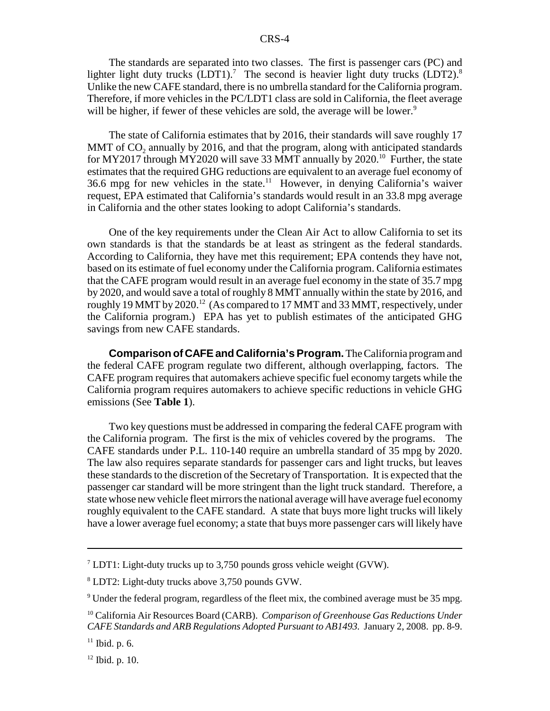The standards are separated into two classes. The first is passenger cars (PC) and lighter light duty trucks  $(LDT1)$ .<sup>7</sup> The second is heavier light duty trucks  $(LDT2)$ .<sup>8</sup> Unlike the new CAFE standard, there is no umbrella standard for the California program. Therefore, if more vehicles in the PC/LDT1 class are sold in California, the fleet average will be higher, if fewer of these vehicles are sold, the average will be lower.<sup>9</sup>

The state of California estimates that by 2016, their standards will save roughly 17 MMT of CO<sub>2</sub> annually by 2016, and that the program, along with anticipated standards for MY2017 through MY2020 will save 33 MMT annually by  $2020$ <sup>10</sup> Further, the state estimates that the required GHG reductions are equivalent to an average fuel economy of 36.6 mpg for new vehicles in the state.<sup>11</sup> However, in denying California's waiver request, EPA estimated that California's standards would result in an 33.8 mpg average in California and the other states looking to adopt California's standards.

One of the key requirements under the Clean Air Act to allow California to set its own standards is that the standards be at least as stringent as the federal standards. According to California, they have met this requirement; EPA contends they have not, based on its estimate of fuel economy under the California program. California estimates that the CAFE program would result in an average fuel economy in the state of 35.7 mpg by 2020, and would save a total of roughly 8 MMT annually within the state by 2016, and roughly 19 MMT by 2020.<sup>12</sup> (As compared to 17 MMT and 33 MMT, respectively, under the California program.) EPA has yet to publish estimates of the anticipated GHG savings from new CAFE standards.

**Comparison of CAFE and California's Program.** The California program and the federal CAFE program regulate two different, although overlapping, factors. The CAFE program requires that automakers achieve specific fuel economy targets while the California program requires automakers to achieve specific reductions in vehicle GHG emissions (See **Table 1**).

Two key questions must be addressed in comparing the federal CAFE program with the California program. The first is the mix of vehicles covered by the programs. The CAFE standards under P.L. 110-140 require an umbrella standard of 35 mpg by 2020. The law also requires separate standards for passenger cars and light trucks, but leaves these standards to the discretion of the Secretary of Transportation. It is expected that the passenger car standard will be more stringent than the light truck standard. Therefore, a state whose new vehicle fleet mirrors the national average will have average fuel economy roughly equivalent to the CAFE standard. A state that buys more light trucks will likely have a lower average fuel economy; a state that buys more passenger cars will likely have

 $12$  Ibid. p. 10.

<sup>&</sup>lt;sup>7</sup> LDT1: Light-duty trucks up to 3,750 pounds gross vehicle weight (GVW).

<sup>8</sup> LDT2: Light-duty trucks above 3,750 pounds GVW.

 $9$  Under the federal program, regardless of the fleet mix, the combined average must be 35 mpg.

<sup>10</sup> California Air Resources Board (CARB). *Comparison of Greenhouse Gas Reductions Under CAFE Standards and ARB Regulations Adopted Pursuant to AB1493.* January 2, 2008. pp. 8-9.

 $11$  Ibid. p. 6.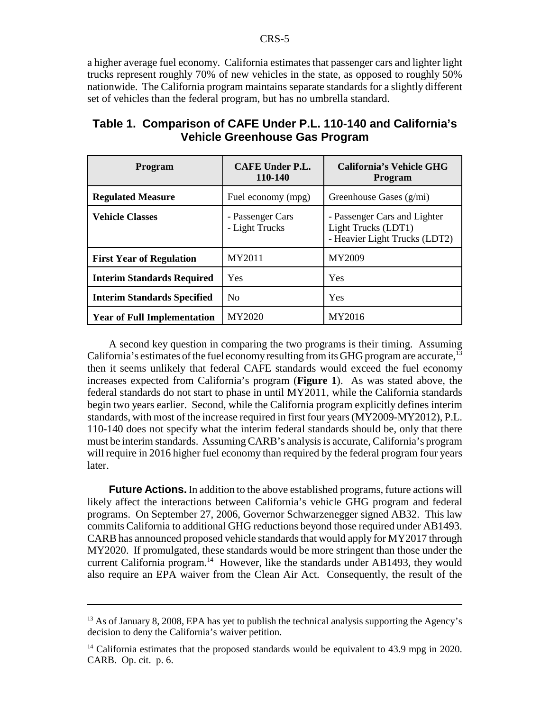a higher average fuel economy. California estimates that passenger cars and lighter light trucks represent roughly 70% of new vehicles in the state, as opposed to roughly 50% nationwide. The California program maintains separate standards for a slightly different set of vehicles than the federal program, but has no umbrella standard.

| <b>Program</b>                     | <b>CAFE Under P.L.</b><br>110-140  | <b>California's Vehicle GHG</b><br>Program                                           |
|------------------------------------|------------------------------------|--------------------------------------------------------------------------------------|
| <b>Regulated Measure</b>           | Fuel economy (mpg)                 | Greenhouse Gases (g/mi)                                                              |
| <b>Vehicle Classes</b>             | - Passenger Cars<br>- Light Trucks | - Passenger Cars and Lighter<br>Light Trucks (LDT1)<br>- Heavier Light Trucks (LDT2) |
| <b>First Year of Regulation</b>    | MY2011                             | MY2009                                                                               |
| <b>Interim Standards Required</b>  | Yes                                | Yes                                                                                  |
| <b>Interim Standards Specified</b> | N <sub>0</sub>                     | Yes                                                                                  |
| <b>Year of Full Implementation</b> | MY2020                             | MY2016                                                                               |

## **Table 1. Comparison of CAFE Under P.L. 110-140 and California's Vehicle Greenhouse Gas Program**

A second key question in comparing the two programs is their timing. Assuming California's estimates of the fuel economy resulting from its GHG program are accurate,<sup>13</sup> then it seems unlikely that federal CAFE standards would exceed the fuel economy increases expected from California's program (**Figure 1**). As was stated above, the federal standards do not start to phase in until MY2011, while the California standards begin two years earlier. Second, while the California program explicitly defines interim standards, with most of the increase required in first four years (MY2009-MY2012), P.L. 110-140 does not specify what the interim federal standards should be, only that there must be interim standards. Assuming CARB's analysis is accurate, California's program will require in 2016 higher fuel economy than required by the federal program four years later.

**Future Actions.** In addition to the above established programs, future actions will likely affect the interactions between California's vehicle GHG program and federal programs. On September 27, 2006, Governor Schwarzenegger signed AB32. This law commits California to additional GHG reductions beyond those required under AB1493. CARB has announced proposed vehicle standards that would apply for MY2017 through MY2020. If promulgated, these standards would be more stringent than those under the current California program.<sup>14</sup> However, like the standards under AB1493, they would also require an EPA waiver from the Clean Air Act. Consequently, the result of the

 $13$  As of January 8, 2008, EPA has yet to publish the technical analysis supporting the Agency's decision to deny the California's waiver petition.

<sup>&</sup>lt;sup>14</sup> California estimates that the proposed standards would be equivalent to 43.9 mpg in 2020. CARB. Op. cit. p. 6.